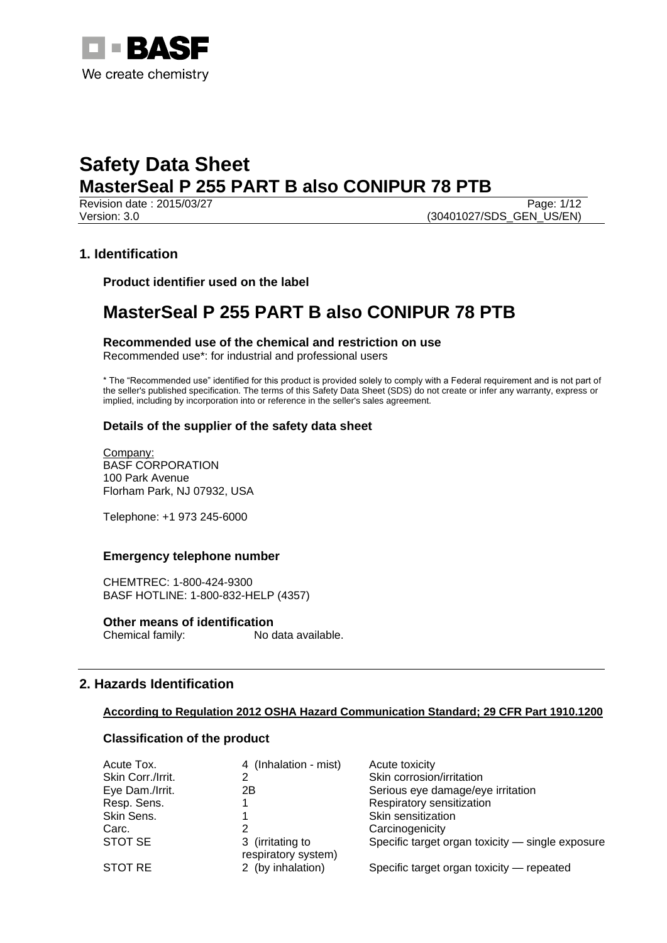

Revision date : 2015/03/27 Page: 1/12 Version: 3.0 **(30401027/SDS\_GEN\_US/EN)** 

## **1. Identification**

**Product identifier used on the label**

## **MasterSeal P 255 PART B also CONIPUR 78 PTB**

**Recommended use of the chemical and restriction on use**

Recommended use\*: for industrial and professional users

\* The "Recommended use" identified for this product is provided solely to comply with a Federal requirement and is not part of the seller's published specification. The terms of this Safety Data Sheet (SDS) do not create or infer any warranty, express or implied, including by incorporation into or reference in the seller's sales agreement.

## **Details of the supplier of the safety data sheet**

Company: BASF CORPORATION 100 Park Avenue Florham Park, NJ 07932, USA

Telephone: +1 973 245-6000

## **Emergency telephone number**

CHEMTREC: 1-800-424-9300 BASF HOTLINE: 1-800-832-HELP (4357)

**Other means of identification** Chemical family: No data available.

## **2. Hazards Identification**

#### **According to Regulation 2012 OSHA Hazard Communication Standard; 29 CFR Part 1910.1200**

## **Classification of the product**

| Acute Tox.        | 4 (Inhalation - mist)                   | Acute toxicity                                   |
|-------------------|-----------------------------------------|--------------------------------------------------|
| Skin Corr./Irrit. |                                         | Skin corrosion/irritation                        |
| Eye Dam./Irrit.   | 2Β                                      | Serious eye damage/eye irritation                |
| Resp. Sens.       |                                         | Respiratory sensitization                        |
| Skin Sens.        |                                         | Skin sensitization                               |
| Carc.             |                                         | Carcinogenicity                                  |
| STOT SE           | 3 (irritating to<br>respiratory system) | Specific target organ toxicity - single exposure |
| STOT RE           | 2 (by inhalation)                       | Specific target organ toxicity - repeated        |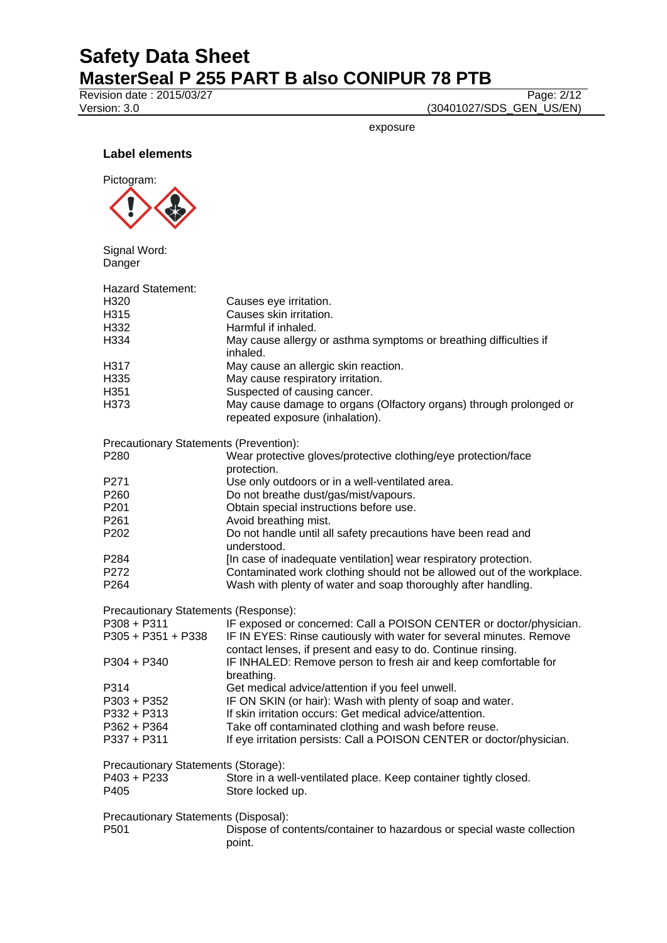Revision date : 2015/03/27<br>
Version: 3.0 (30401027/SDS\_GEN\_US/EN)

(30401027/SDS\_GEN\_US/EN)

exposure

**Label elements**



Signal Word: Danger

| <b>Hazard Statement:</b>               |                                                                                                                                     |  |  |
|----------------------------------------|-------------------------------------------------------------------------------------------------------------------------------------|--|--|
| H <sub>320</sub>                       | Causes eye irritation.                                                                                                              |  |  |
| H315                                   | Causes skin irritation.                                                                                                             |  |  |
| H332                                   | Harmful if inhaled.                                                                                                                 |  |  |
| H334                                   | May cause allergy or asthma symptoms or breathing difficulties if                                                                   |  |  |
|                                        | inhaled.                                                                                                                            |  |  |
| H317                                   | May cause an allergic skin reaction.                                                                                                |  |  |
| H335                                   | May cause respiratory irritation.                                                                                                   |  |  |
| H <sub>351</sub>                       | Suspected of causing cancer.                                                                                                        |  |  |
| H373                                   | May cause damage to organs (Olfactory organs) through prolonged or<br>repeated exposure (inhalation).                               |  |  |
| Precautionary Statements (Prevention): |                                                                                                                                     |  |  |
| P280                                   | Wear protective gloves/protective clothing/eye protection/face                                                                      |  |  |
|                                        | protection.                                                                                                                         |  |  |
| P271                                   | Use only outdoors or in a well-ventilated area.                                                                                     |  |  |
| P <sub>260</sub>                       | Do not breathe dust/gas/mist/vapours.                                                                                               |  |  |
| P <sub>201</sub>                       | Obtain special instructions before use.                                                                                             |  |  |
| P <sub>261</sub>                       | Avoid breathing mist.                                                                                                               |  |  |
| P <sub>202</sub>                       | Do not handle until all safety precautions have been read and<br>understood.                                                        |  |  |
| P284                                   | [In case of inadequate ventilation] wear respiratory protection.                                                                    |  |  |
| P272                                   | Contaminated work clothing should not be allowed out of the workplace.                                                              |  |  |
| P <sub>264</sub>                       | Wash with plenty of water and soap thoroughly after handling.                                                                       |  |  |
| Precautionary Statements (Response):   |                                                                                                                                     |  |  |
| P308 + P311                            | IF exposed or concerned: Call a POISON CENTER or doctor/physician.                                                                  |  |  |
| $P305 + P351 + P338$                   | IF IN EYES: Rinse cautiously with water for several minutes. Remove<br>contact lenses, if present and easy to do. Continue rinsing. |  |  |
| P304 + P340                            | IF INHALED: Remove person to fresh air and keep comfortable for                                                                     |  |  |
|                                        | breathing.                                                                                                                          |  |  |
| P314                                   | Get medical advice/attention if you feel unwell.                                                                                    |  |  |
| P303 + P352                            | IF ON SKIN (or hair): Wash with plenty of soap and water.                                                                           |  |  |
| P332 + P313                            | If skin irritation occurs: Get medical advice/attention.                                                                            |  |  |
| P362 + P364                            | Take off contaminated clothing and wash before reuse.                                                                               |  |  |
| $P337 + P311$                          | If eye irritation persists: Call a POISON CENTER or doctor/physician.                                                               |  |  |
| Precautionary Statements (Storage):    |                                                                                                                                     |  |  |
| P403 + P233                            | Store in a well-ventilated place. Keep container tightly closed.                                                                    |  |  |
| P405                                   | Store locked up.                                                                                                                    |  |  |
| Precautionary Statements (Disposal):   |                                                                                                                                     |  |  |
| P <sub>501</sub>                       | Dispose of contents/container to hazardous or special waste collection                                                              |  |  |
|                                        | point.                                                                                                                              |  |  |
|                                        |                                                                                                                                     |  |  |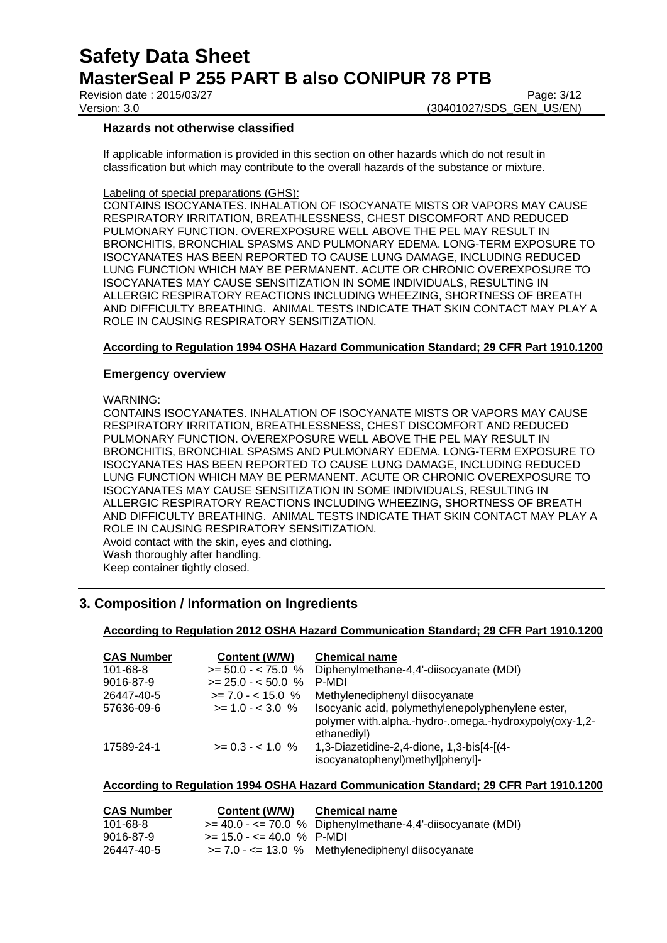Revision date : 2015/03/27 Page: 3/12

Version: 3.0 **(30401027/SDS** GEN US/EN)

## **Hazards not otherwise classified**

If applicable information is provided in this section on other hazards which do not result in classification but which may contribute to the overall hazards of the substance or mixture.

#### Labeling of special preparations (GHS):

CONTAINS ISOCYANATES. INHALATION OF ISOCYANATE MISTS OR VAPORS MAY CAUSE RESPIRATORY IRRITATION, BREATHLESSNESS, CHEST DISCOMFORT AND REDUCED PULMONARY FUNCTION. OVEREXPOSURE WELL ABOVE THE PEL MAY RESULT IN BRONCHITIS, BRONCHIAL SPASMS AND PULMONARY EDEMA. LONG-TERM EXPOSURE TO ISOCYANATES HAS BEEN REPORTED TO CAUSE LUNG DAMAGE, INCLUDING REDUCED LUNG FUNCTION WHICH MAY BE PERMANENT. ACUTE OR CHRONIC OVEREXPOSURE TO ISOCYANATES MAY CAUSE SENSITIZATION IN SOME INDIVIDUALS, RESULTING IN ALLERGIC RESPIRATORY REACTIONS INCLUDING WHEEZING, SHORTNESS OF BREATH AND DIFFICULTY BREATHING. ANIMAL TESTS INDICATE THAT SKIN CONTACT MAY PLAY A ROLE IN CAUSING RESPIRATORY SENSITIZATION.

### **According to Regulation 1994 OSHA Hazard Communication Standard; 29 CFR Part 1910.1200**

### **Emergency overview**

WARNING:

CONTAINS ISOCYANATES. INHALATION OF ISOCYANATE MISTS OR VAPORS MAY CAUSE RESPIRATORY IRRITATION, BREATHLESSNESS, CHEST DISCOMFORT AND REDUCED PULMONARY FUNCTION. OVEREXPOSURE WELL ABOVE THE PEL MAY RESULT IN BRONCHITIS, BRONCHIAL SPASMS AND PULMONARY EDEMA. LONG-TERM EXPOSURE TO ISOCYANATES HAS BEEN REPORTED TO CAUSE LUNG DAMAGE, INCLUDING REDUCED LUNG FUNCTION WHICH MAY BE PERMANENT. ACUTE OR CHRONIC OVEREXPOSURE TO ISOCYANATES MAY CAUSE SENSITIZATION IN SOME INDIVIDUALS, RESULTING IN ALLERGIC RESPIRATORY REACTIONS INCLUDING WHEEZING, SHORTNESS OF BREATH AND DIFFICULTY BREATHING. ANIMAL TESTS INDICATE THAT SKIN CONTACT MAY PLAY A ROLE IN CAUSING RESPIRATORY SENSITIZATION. Avoid contact with the skin, eyes and clothing. Wash thoroughly after handling.

Keep container tightly closed.

## **3. Composition / Information on Ingredients**

#### **According to Regulation 2012 OSHA Hazard Communication Standard; 29 CFR Part 1910.1200**

| <b>CAS Number</b> | Content (W/W)        | <b>Chemical name</b>                                                                                                       |
|-------------------|----------------------|----------------------------------------------------------------------------------------------------------------------------|
| 101-68-8          | $>= 50.0 - < 75.0$ % | Diphenylmethane-4,4'-diisocyanate (MDI)                                                                                    |
| 9016-87-9         | $>= 25.0 - 50.0 %$   | P-MDI                                                                                                                      |
| 26447-40-5        | $>= 7.0 - < 15.0$ %  | Methylenediphenyl diisocyanate                                                                                             |
| 57636-09-6        | $>= 1.0 - < 3.0 %$   | Isocyanic acid, polymethylenepolyphenylene ester,<br>polymer with.alpha.-hydro-.omega.-hydroxypoly(oxy-1,2-<br>ethanediyl) |
| 17589-24-1        | $>= 0.3 - 1.0 %$     | 1,3-Diazetidine-2,4-dione, 1,3-bis[4-[(4-<br>isocyanatophenyl)methyl]phenyl]-                                              |

### **According to Regulation 1994 OSHA Hazard Communication Standard; 29 CFR Part 1910.1200**

| <b>CAS Number</b> | Content (W/W)                 | <b>Chemical name</b>                                        |
|-------------------|-------------------------------|-------------------------------------------------------------|
| 101-68-8          |                               | $>= 40.0 - 70.0$ % Diphenylmethane-4,4'-diisocyanate (MDI)  |
| 9016-87-9         | $>= 15.0 - \le 40.0 \%$ P-MDI |                                                             |
| 26447-40-5        |                               | $\ge$ = 7.0 - $\lt$ = 13.0 % Methylenediphenyl diisocyanate |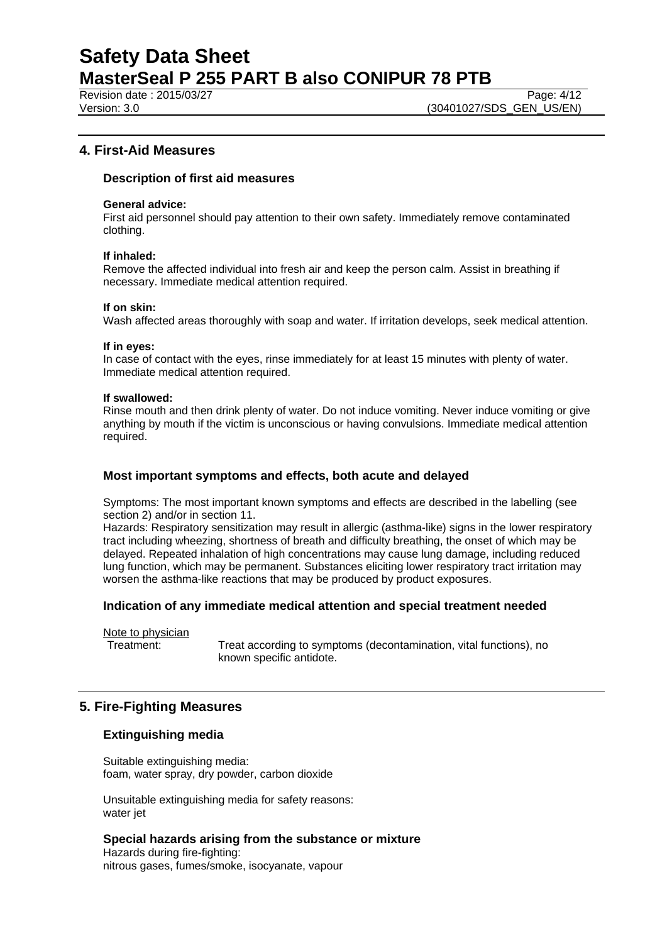Revision date : 2015/03/27 Page: 4/12

Version: 3.0 **(30401027/SDS\_GEN\_US/EN)** 

## **4. First-Aid Measures**

## **Description of first aid measures**

#### **General advice:**

First aid personnel should pay attention to their own safety. Immediately remove contaminated clothing.

#### **If inhaled:**

Remove the affected individual into fresh air and keep the person calm. Assist in breathing if necessary. Immediate medical attention required.

#### **If on skin:**

Wash affected areas thoroughly with soap and water. If irritation develops, seek medical attention.

#### **If in eyes:**

In case of contact with the eyes, rinse immediately for at least 15 minutes with plenty of water. Immediate medical attention required.

#### **If swallowed:**

Rinse mouth and then drink plenty of water. Do not induce vomiting. Never induce vomiting or give anything by mouth if the victim is unconscious or having convulsions. Immediate medical attention required.

## **Most important symptoms and effects, both acute and delayed**

Symptoms: The most important known symptoms and effects are described in the labelling (see section 2) and/or in section 11.

Hazards: Respiratory sensitization may result in allergic (asthma-like) signs in the lower respiratory tract including wheezing, shortness of breath and difficulty breathing, the onset of which may be delayed. Repeated inhalation of high concentrations may cause lung damage, including reduced lung function, which may be permanent. Substances eliciting lower respiratory tract irritation may worsen the asthma-like reactions that may be produced by product exposures.

## **Indication of any immediate medical attention and special treatment needed**

Note to physician

Treatment: Treat according to symptoms (decontamination, vital functions), no known specific antidote.

## **5. Fire-Fighting Measures**

## **Extinguishing media**

Suitable extinguishing media: foam, water spray, dry powder, carbon dioxide

Unsuitable extinguishing media for safety reasons: water jet

### **Special hazards arising from the substance or mixture**

Hazards during fire-fighting: nitrous gases, fumes/smoke, isocyanate, vapour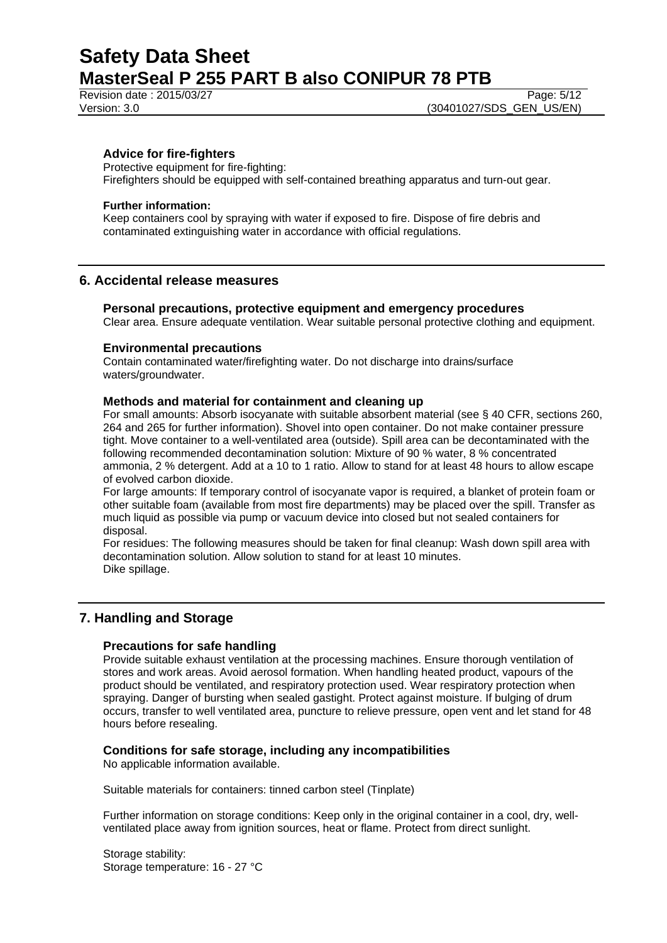Revision date : 2015/03/27 Page: 5/12

## **Advice for fire-fighters**

Protective equipment for fire-fighting: Firefighters should be equipped with self-contained breathing apparatus and turn-out gear.

#### **Further information:**

Keep containers cool by spraying with water if exposed to fire. Dispose of fire debris and contaminated extinguishing water in accordance with official regulations.

### **6. Accidental release measures**

#### **Personal precautions, protective equipment and emergency procedures**

Clear area. Ensure adequate ventilation. Wear suitable personal protective clothing and equipment.

#### **Environmental precautions**

Contain contaminated water/firefighting water. Do not discharge into drains/surface waters/groundwater.

#### **Methods and material for containment and cleaning up**

For small amounts: Absorb isocyanate with suitable absorbent material (see § 40 CFR, sections 260, 264 and 265 for further information). Shovel into open container. Do not make container pressure tight. Move container to a well-ventilated area (outside). Spill area can be decontaminated with the following recommended decontamination solution: Mixture of 90 % water, 8 % concentrated ammonia, 2 % detergent. Add at a 10 to 1 ratio. Allow to stand for at least 48 hours to allow escape of evolved carbon dioxide.

For large amounts: If temporary control of isocyanate vapor is required, a blanket of protein foam or other suitable foam (available from most fire departments) may be placed over the spill. Transfer as much liquid as possible via pump or vacuum device into closed but not sealed containers for disposal.

For residues: The following measures should be taken for final cleanup: Wash down spill area with decontamination solution. Allow solution to stand for at least 10 minutes. Dike spillage.

## **7. Handling and Storage**

## **Precautions for safe handling**

Provide suitable exhaust ventilation at the processing machines. Ensure thorough ventilation of stores and work areas. Avoid aerosol formation. When handling heated product, vapours of the product should be ventilated, and respiratory protection used. Wear respiratory protection when spraying. Danger of bursting when sealed gastight. Protect against moisture. If bulging of drum occurs, transfer to well ventilated area, puncture to relieve pressure, open vent and let stand for 48 hours before resealing.

#### **Conditions for safe storage, including any incompatibilities**

No applicable information available.

Suitable materials for containers: tinned carbon steel (Tinplate)

Further information on storage conditions: Keep only in the original container in a cool, dry, wellventilated place away from ignition sources, heat or flame. Protect from direct sunlight.

Storage stability: Storage temperature: 16 - 27 °C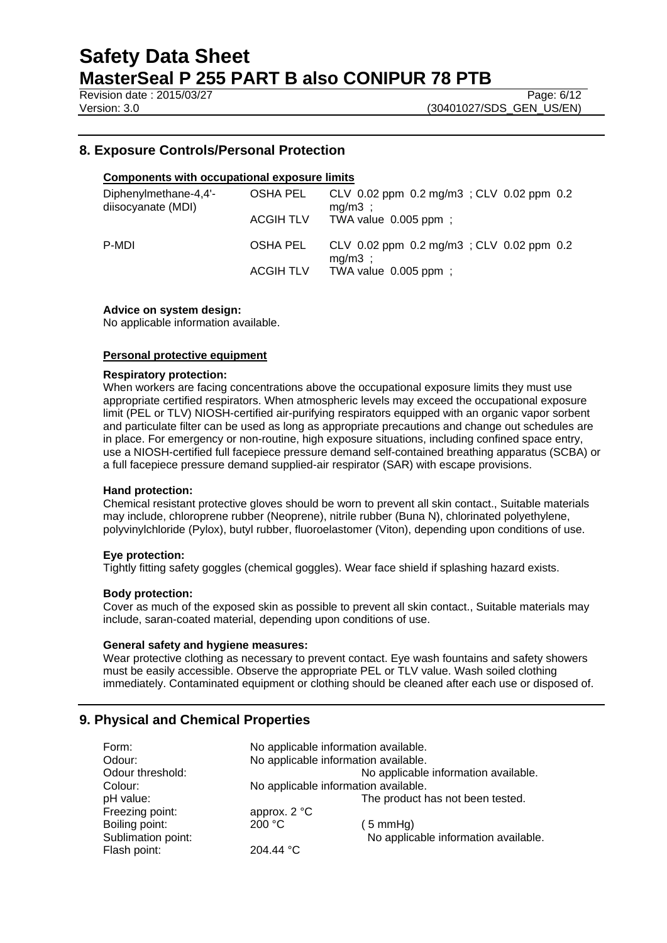Revision date : 2015/03/27 Page: 6/12

Version: 3.0 **(30401027/SDS\_GEN\_US/EN)** 

## **8. Exposure Controls/Personal Protection**

## **Components with occupational exposure limits**

| Diphenylmethane-4,4'-<br>diisocyanate (MDI) | OSHA PEL<br><b>ACGIH TLV</b> | CLV 0.02 ppm 0.2 mg/m3; CLV 0.02 ppm 0.2<br>$mg/m3$ ;<br>TWA value $0.005$ ppm; |
|---------------------------------------------|------------------------------|---------------------------------------------------------------------------------|
| P-MDI                                       | OSHA PEL                     | CLV 0.02 ppm 0.2 mg/m3; CLV 0.02 ppm 0.2<br>$mg/m3$ ;                           |
|                                             | <b>ACGIH TLV</b>             | TWA value $0.005$ ppm;                                                          |

#### **Advice on system design:**

No applicable information available.

#### **Personal protective equipment**

#### **Respiratory protection:**

When workers are facing concentrations above the occupational exposure limits they must use appropriate certified respirators. When atmospheric levels may exceed the occupational exposure limit (PEL or TLV) NIOSH-certified air-purifying respirators equipped with an organic vapor sorbent and particulate filter can be used as long as appropriate precautions and change out schedules are in place. For emergency or non-routine, high exposure situations, including confined space entry, use a NIOSH-certified full facepiece pressure demand self-contained breathing apparatus (SCBA) or a full facepiece pressure demand supplied-air respirator (SAR) with escape provisions.

#### **Hand protection:**

Chemical resistant protective gloves should be worn to prevent all skin contact., Suitable materials may include, chloroprene rubber (Neoprene), nitrile rubber (Buna N), chlorinated polyethylene, polyvinylchloride (Pylox), butyl rubber, fluoroelastomer (Viton), depending upon conditions of use.

#### **Eye protection:**

Tightly fitting safety goggles (chemical goggles). Wear face shield if splashing hazard exists.

#### **Body protection:**

Cover as much of the exposed skin as possible to prevent all skin contact., Suitable materials may include, saran-coated material, depending upon conditions of use.

#### **General safety and hygiene measures:**

Wear protective clothing as necessary to prevent contact. Eye wash fountains and safety showers must be easily accessible. Observe the appropriate PEL or TLV value. Wash soiled clothing immediately. Contaminated equipment or clothing should be cleaned after each use or disposed of.

## **9. Physical and Chemical Properties**

| Form:              | No applicable information available. |                                      |  |
|--------------------|--------------------------------------|--------------------------------------|--|
| Odour:             | No applicable information available. |                                      |  |
| Odour threshold:   | No applicable information available. |                                      |  |
| Colour:            | No applicable information available. |                                      |  |
| pH value:          |                                      | The product has not been tested.     |  |
| Freezing point:    | approx. $2^{\circ}C$                 |                                      |  |
| Boiling point:     | 200 °C                               | $(5 \text{ mmHg})$                   |  |
| Sublimation point: |                                      | No applicable information available. |  |
| Flash point:       | 204.44 °C                            |                                      |  |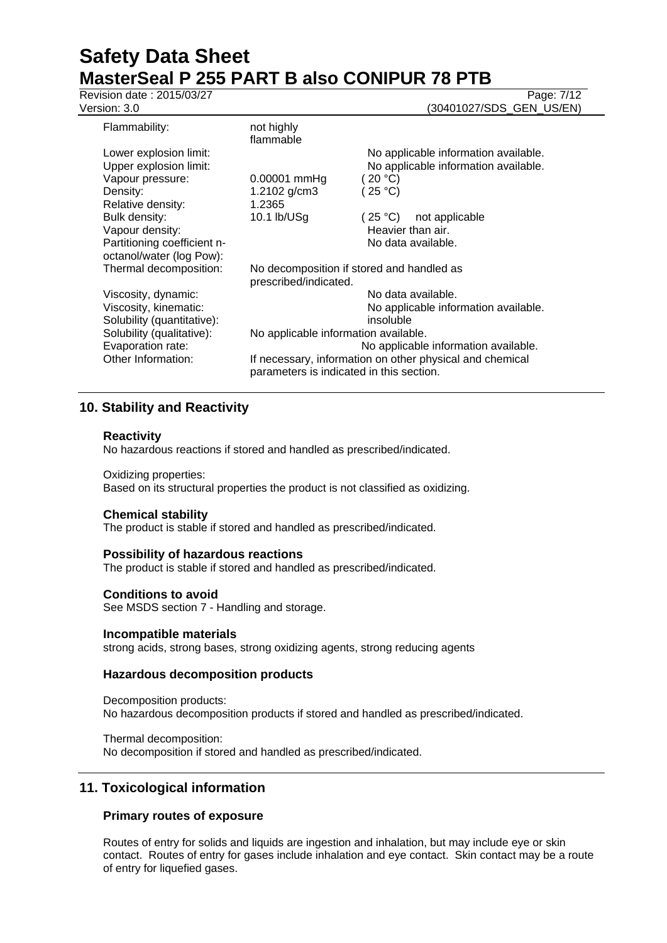**Revision date : 2015/03/27** Page: 7/12

Version: 3.0 **(30401027/SDS\_GEN\_US/EN)** 

| Flammability:               | not highly<br>flammable                                                                              |           |                                      |
|-----------------------------|------------------------------------------------------------------------------------------------------|-----------|--------------------------------------|
| Lower explosion limit:      |                                                                                                      |           | No applicable information available. |
| Upper explosion limit:      |                                                                                                      |           | No applicable information available. |
| Vapour pressure:            | 0.00001 mmHg                                                                                         | (20 °C)   |                                      |
| Density:                    | 1.2102 g/cm3                                                                                         | (25 °C)   |                                      |
| Relative density:           | 1.2365                                                                                               |           |                                      |
| Bulk density:               | 10.1 lb/USg                                                                                          | (25 °C)   | not applicable                       |
| Vapour density:             |                                                                                                      |           | Heavier than air.                    |
| Partitioning coefficient n- |                                                                                                      |           | No data available.                   |
| octanol/water (log Pow):    |                                                                                                      |           |                                      |
| Thermal decomposition:      | No decomposition if stored and handled as<br>prescribed/indicated.                                   |           |                                      |
| Viscosity, dynamic:         |                                                                                                      |           | No data available.                   |
| Viscosity, kinematic:       |                                                                                                      |           | No applicable information available. |
| Solubility (quantitative):  |                                                                                                      | insoluble |                                      |
| Solubility (qualitative):   | No applicable information available.                                                                 |           |                                      |
| Evaporation rate:           |                                                                                                      |           | No applicable information available. |
| Other Information:          | If necessary, information on other physical and chemical<br>parameters is indicated in this section. |           |                                      |

## **10. Stability and Reactivity**

### **Reactivity**

No hazardous reactions if stored and handled as prescribed/indicated.

#### Oxidizing properties:

Based on its structural properties the product is not classified as oxidizing.

#### **Chemical stability**

The product is stable if stored and handled as prescribed/indicated.

#### **Possibility of hazardous reactions**

The product is stable if stored and handled as prescribed/indicated.

#### **Conditions to avoid**

See MSDS section 7 - Handling and storage.

#### **Incompatible materials**

strong acids, strong bases, strong oxidizing agents, strong reducing agents

## **Hazardous decomposition products**

Decomposition products: No hazardous decomposition products if stored and handled as prescribed/indicated.

Thermal decomposition: No decomposition if stored and handled as prescribed/indicated.

## **11. Toxicological information**

## **Primary routes of exposure**

Routes of entry for solids and liquids are ingestion and inhalation, but may include eye or skin contact. Routes of entry for gases include inhalation and eye contact. Skin contact may be a route of entry for liquefied gases.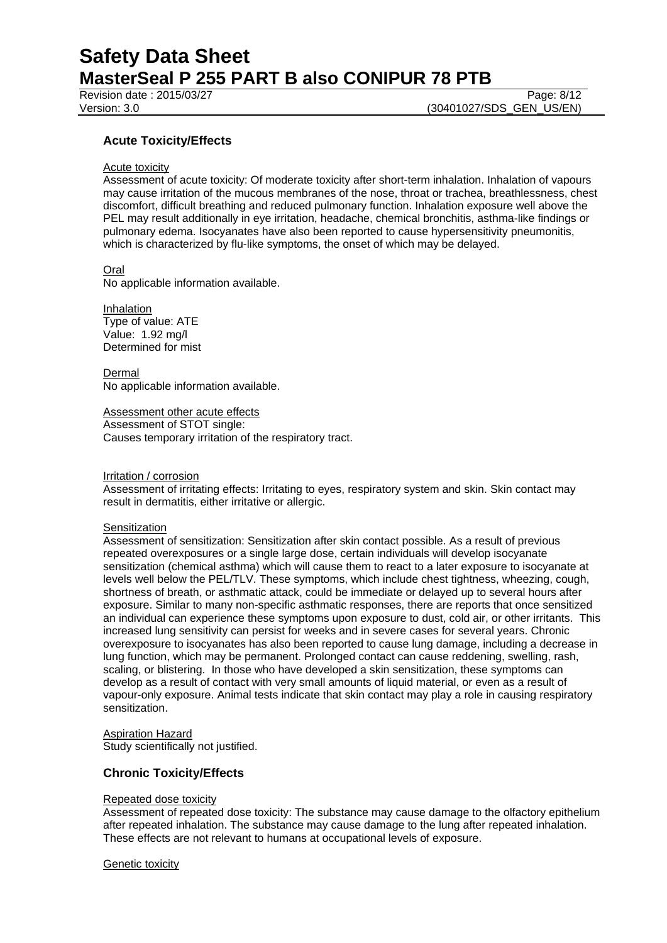Revision date : 2015/03/27 Page: 8/12

Version: 3.0 **(30401027/SDS\_GEN\_US/EN)** 

## **Acute Toxicity/Effects**

#### Acute toxicity

Assessment of acute toxicity: Of moderate toxicity after short-term inhalation. Inhalation of vapours may cause irritation of the mucous membranes of the nose, throat or trachea, breathlessness, chest discomfort, difficult breathing and reduced pulmonary function. Inhalation exposure well above the PEL may result additionally in eye irritation, headache, chemical bronchitis, asthma-like findings or pulmonary edema. Isocyanates have also been reported to cause hypersensitivity pneumonitis, which is characterized by flu-like symptoms, the onset of which may be delayed.

#### Oral

No applicable information available.

Inhalation Type of value: ATE Value: 1.92 mg/l Determined for mist

Dermal No applicable information available.

Assessment other acute effects Assessment of STOT single: Causes temporary irritation of the respiratory tract.

#### Irritation / corrosion

Assessment of irritating effects: Irritating to eyes, respiratory system and skin. Skin contact may result in dermatitis, either irritative or allergic.

#### **Sensitization**

Assessment of sensitization: Sensitization after skin contact possible. As a result of previous repeated overexposures or a single large dose, certain individuals will develop isocyanate sensitization (chemical asthma) which will cause them to react to a later exposure to isocyanate at levels well below the PEL/TLV. These symptoms, which include chest tightness, wheezing, cough, shortness of breath, or asthmatic attack, could be immediate or delayed up to several hours after exposure. Similar to many non-specific asthmatic responses, there are reports that once sensitized an individual can experience these symptoms upon exposure to dust, cold air, or other irritants. This increased lung sensitivity can persist for weeks and in severe cases for several years. Chronic overexposure to isocyanates has also been reported to cause lung damage, including a decrease in lung function, which may be permanent. Prolonged contact can cause reddening, swelling, rash, scaling, or blistering. In those who have developed a skin sensitization, these symptoms can develop as a result of contact with very small amounts of liquid material, or even as a result of vapour-only exposure. Animal tests indicate that skin contact may play a role in causing respiratory sensitization.

#### Aspiration Hazard

Study scientifically not justified.

## **Chronic Toxicity/Effects**

#### Repeated dose toxicity

Assessment of repeated dose toxicity: The substance may cause damage to the olfactory epithelium after repeated inhalation. The substance may cause damage to the lung after repeated inhalation. These effects are not relevant to humans at occupational levels of exposure.

#### Genetic toxicity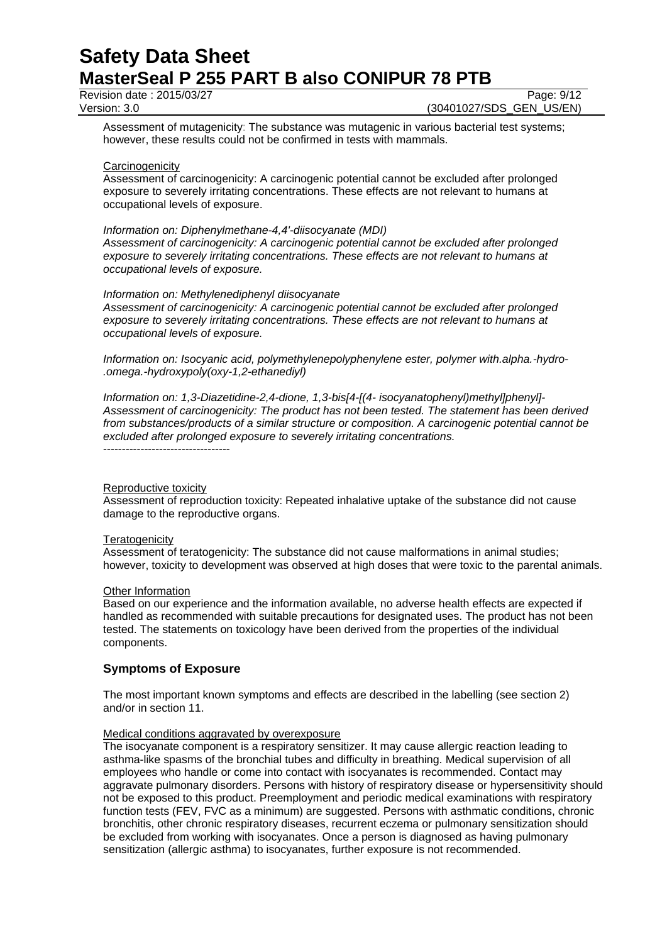Revision date : 2015/03/27 Page: 9/12

Version: 3.0 **(30401027/SDS\_GEN\_US/EN)** 

Assessment of mutagenicity: The substance was mutagenic in various bacterial test systems; however, these results could not be confirmed in tests with mammals.

#### **Carcinogenicity**

Assessment of carcinogenicity: A carcinogenic potential cannot be excluded after prolonged exposure to severely irritating concentrations. These effects are not relevant to humans at occupational levels of exposure.

#### *Information on: Diphenylmethane-4,4'-diisocyanate (MDI)*

*Assessment of carcinogenicity: A carcinogenic potential cannot be excluded after prolonged exposure to severely irritating concentrations. These effects are not relevant to humans at occupational levels of exposure.*

#### *Information on: Methylenediphenyl diisocyanate*

*Assessment of carcinogenicity: A carcinogenic potential cannot be excluded after prolonged exposure to severely irritating concentrations. These effects are not relevant to humans at occupational levels of exposure.*

*Information on: Isocyanic acid, polymethylenepolyphenylene ester, polymer with.alpha.-hydro- .omega.-hydroxypoly(oxy-1,2-ethanediyl)*

*Information on: 1,3-Diazetidine-2,4-dione, 1,3-bis[4-[(4- isocyanatophenyl)methyl]phenyl]- Assessment of carcinogenicity: The product has not been tested. The statement has been derived from substances/products of a similar structure or composition. A carcinogenic potential cannot be excluded after prolonged exposure to severely irritating concentrations.* ----------------------------------

#### Reproductive toxicity

Assessment of reproduction toxicity: Repeated inhalative uptake of the substance did not cause damage to the reproductive organs.

#### **Teratogenicity**

Assessment of teratogenicity: The substance did not cause malformations in animal studies; however, toxicity to development was observed at high doses that were toxic to the parental animals.

#### Other Information

Based on our experience and the information available, no adverse health effects are expected if handled as recommended with suitable precautions for designated uses. The product has not been tested. The statements on toxicology have been derived from the properties of the individual components.

## **Symptoms of Exposure**

The most important known symptoms and effects are described in the labelling (see section 2) and/or in section 11.

## Medical conditions aggravated by overexposure

The isocyanate component is a respiratory sensitizer. It may cause allergic reaction leading to asthma-like spasms of the bronchial tubes and difficulty in breathing. Medical supervision of all employees who handle or come into contact with isocyanates is recommended. Contact may aggravate pulmonary disorders. Persons with history of respiratory disease or hypersensitivity should not be exposed to this product. Preemployment and periodic medical examinations with respiratory function tests (FEV, FVC as a minimum) are suggested. Persons with asthmatic conditions, chronic bronchitis, other chronic respiratory diseases, recurrent eczema or pulmonary sensitization should be excluded from working with isocyanates. Once a person is diagnosed as having pulmonary sensitization (allergic asthma) to isocyanates, further exposure is not recommended.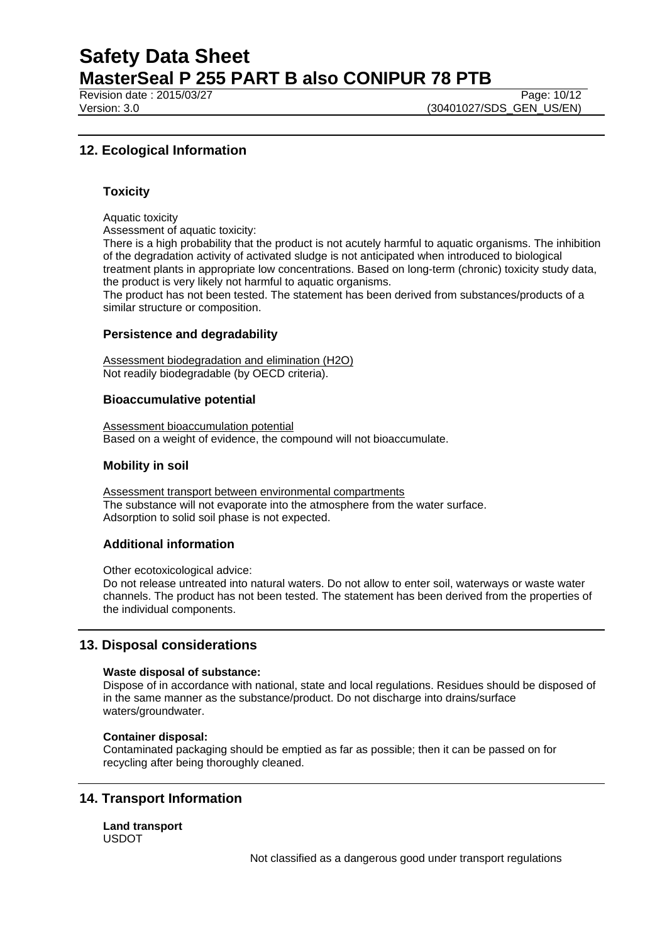Revision date : 2015/03/27 Page: 10/12

Version: 3.0 **(30401027/SDS\_GEN\_US/EN)** 

## **12. Ecological Information**

## **Toxicity**

Aquatic toxicity

Assessment of aquatic toxicity:

There is a high probability that the product is not acutely harmful to aquatic organisms. The inhibition of the degradation activity of activated sludge is not anticipated when introduced to biological treatment plants in appropriate low concentrations. Based on long-term (chronic) toxicity study data, the product is very likely not harmful to aquatic organisms.

The product has not been tested. The statement has been derived from substances/products of a similar structure or composition.

#### **Persistence and degradability**

Assessment biodegradation and elimination (H2O) Not readily biodegradable (by OECD criteria).

#### **Bioaccumulative potential**

Assessment bioaccumulation potential Based on a weight of evidence, the compound will not bioaccumulate.

### **Mobility in soil**

Assessment transport between environmental compartments The substance will not evaporate into the atmosphere from the water surface. Adsorption to solid soil phase is not expected.

## **Additional information**

Other ecotoxicological advice:

Do not release untreated into natural waters. Do not allow to enter soil, waterways or waste water channels. The product has not been tested. The statement has been derived from the properties of the individual components.

## **13. Disposal considerations**

#### **Waste disposal of substance:**

Dispose of in accordance with national, state and local regulations. Residues should be disposed of in the same manner as the substance/product. Do not discharge into drains/surface waters/groundwater.

#### **Container disposal:**

Contaminated packaging should be emptied as far as possible; then it can be passed on for recycling after being thoroughly cleaned.

## **14. Transport Information**

**Land transport** USDOT

Not classified as a dangerous good under transport regulations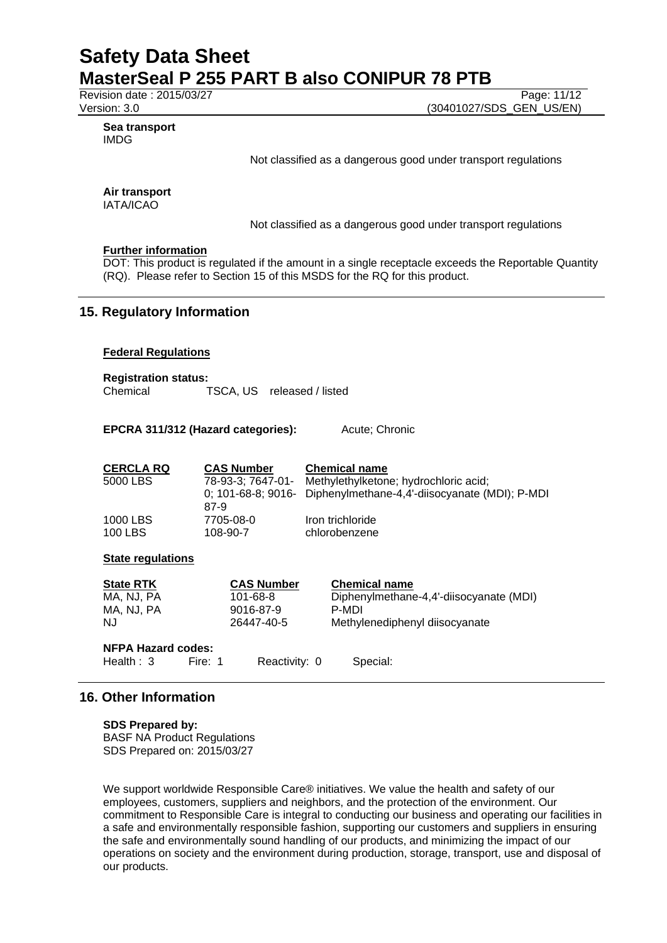Revision date : 2015/03/27 Page: 11/12<br>Version: 3.0 (30401027/SDS\_GEN\_US/EN) (30401027/SDS\_GEN\_US/EN)

#### **Sea transport** IMDG

Not classified as a dangerous good under transport regulations

## **Air transport**

IATA/ICAO

Not classified as a dangerous good under transport regulations

### **Further information**

DOT: This product is regulated if the amount in a single receptacle exceeds the Reportable Quantity (RQ). Please refer to Section 15 of this MSDS for the RQ for this product.

## **15. Regulatory Information**

### **Federal Regulations**

**Registration status:** Chemical TSCA, US released / listed

### **EPCRA 311/312 (Hazard categories):** Acute; Chronic

| <b>CERCLA RQ</b> | <b>CAS Number</b> | <b>Chemical name</b>                                                    |
|------------------|-------------------|-------------------------------------------------------------------------|
| 5000 LBS         | 78-93-3: 7647-01- | Methylethylketone; hydrochloric acid;                                   |
|                  | 87-9              | 0; $101-68-8$ ; $9016$ - Diphenylmethane-4,4'-diisocyanate (MDI); P-MDI |
| 1000 LBS         | 7705-08-0         | Iron trichloride                                                        |
| 100 LBS          | 108-90-7          | chlorobenzene                                                           |

## **State regulations**

| <b>State RTK</b>                          |         | <b>CAS Number</b> | <b>Chemical name</b>                    |
|-------------------------------------------|---------|-------------------|-----------------------------------------|
| MA. NJ. PA                                |         | 101-68-8          | Diphenylmethane-4,4'-diisocyanate (MDI) |
| MA, NJ, PA                                |         | 9016-87-9         | P-MDI                                   |
| NJ.                                       |         | 26447-40-5        | Methylenediphenyl diisocyanate          |
| <b>NFPA Hazard codes:</b><br>Health $: 3$ | Fire: 1 | Reactivity: 0     | Special:                                |

## **16. Other Information**

**SDS Prepared by:**  BASF NA Product Regulations SDS Prepared on: 2015/03/27

We support worldwide Responsible Care® initiatives. We value the health and safety of our employees, customers, suppliers and neighbors, and the protection of the environment. Our commitment to Responsible Care is integral to conducting our business and operating our facilities in a safe and environmentally responsible fashion, supporting our customers and suppliers in ensuring the safe and environmentally sound handling of our products, and minimizing the impact of our operations on society and the environment during production, storage, transport, use and disposal of our products.